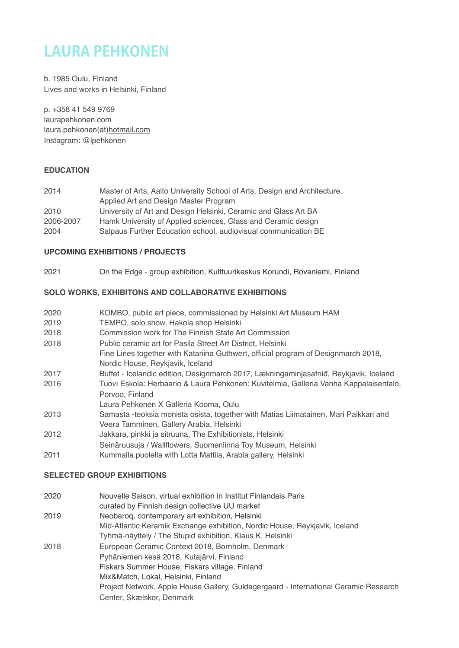# **LAURA PEHKONEN**

b. 1985 Oulu, Finland Lives and works in Helsinki, Finland

p. +358 41 549 9769 laurapehkonen.com laura.pehkonen(at)[hotmail.com](http://hotmail.com) Instagram: @lpehkonen

# **EDUCATION**

| 2014      | Master of Arts, Aalto University School of Arts, Design and Architecture, |
|-----------|---------------------------------------------------------------------------|
|           | Applied Art and Design Master Program                                     |
| 2010      | University of Art and Design Helsinki, Ceramic and Glass Art BA           |
| 2006-2007 | Hamk University of Applied sciences, Glass and Ceramic design             |
| 2004      | Salpaus Further Education school, audiovisual communication BE            |

### **UPCOMING EXHIBITIONS / PROJECTS**

2021 On the Edge - group exhibition, Kulttuurikeskus Korundi, Rovaniemi, Finland

# **SOLO WORKS, EXHIBITONS AND COLLABORATIVE EXHIBITIONS**

| 2020 | KOMBO, public art piece, commissioned by Helsinki Art Museum HAM                   |
|------|------------------------------------------------------------------------------------|
| 2019 | TEMPO, solo show, Hakola shop Helsinki                                             |
| 2018 | Commission work for The Finnish State Art Commission                               |
| 2018 | Public ceramic art for Pasila Street Art District. Helsinki                        |
|      | Fine Lines together with Katariina Guthwert, official program of Designmarch 2018, |

- Nordic House, Reykjavik, Iceland
- 2017 Buffet Icelandic edition, Designmarch 2017, Lækningaminjasafniđ, Reykjavik, Iceland
- 2016 Tuovi Eskola: Herbaario & Laura Pehkonen: Kuvitelmia, Galleria Vanha Kappalaisentalo, Porvoo, Finland
- Laura Pehkonen X Galleria Kooma, Oulu
- 2013 Samasta -teoksia monista osista, together with Matias Liimatainen, Mari Paikkari and Veera Tamminen, Gallery Arabia, Helsinki
- 2012 Jakkara, pinkki ja sitruuna, The Exhibitionists, Helsinki
- Seinäruusuja / Wallflowers, Suomenlinna Toy Museum, Helsinki
- 2011 Kummalla puolella with Lotta Mattila, Arabia gallery, Helsinki

# **SELECTED GROUP EXHIBITIONS**

| 2020 | Nouvelle Saison, virtual exhibition in Institut Finlandais Paris                     |
|------|--------------------------------------------------------------------------------------|
|      | curated by Finnish design collective UU market                                       |
| 2019 | Neobaroq, contemporary art exhibition, Helsinki                                      |
|      | Mid-Atlantic Keramik Exchange exhibition, Nordic House, Reykjavik, Iceland           |
|      | Tyhmä-näyttely / The Stupid exhibition, Klaus K, Helsinki                            |
| 2018 | European Ceramic Context 2018, Bornholm, Denmark                                     |
|      | Pyhäniemen kesä 2018, Kutajärvi, Finland                                             |
|      | Fiskars Summer House, Fiskars village, Finland                                       |
|      | Mix&Match, Lokal, Helsinki, Finland                                                  |
|      | Project Network, Apple House Gallery, Guldagergaard - International Ceramic Research |
|      | Center, Skælskor, Denmark                                                            |
|      |                                                                                      |